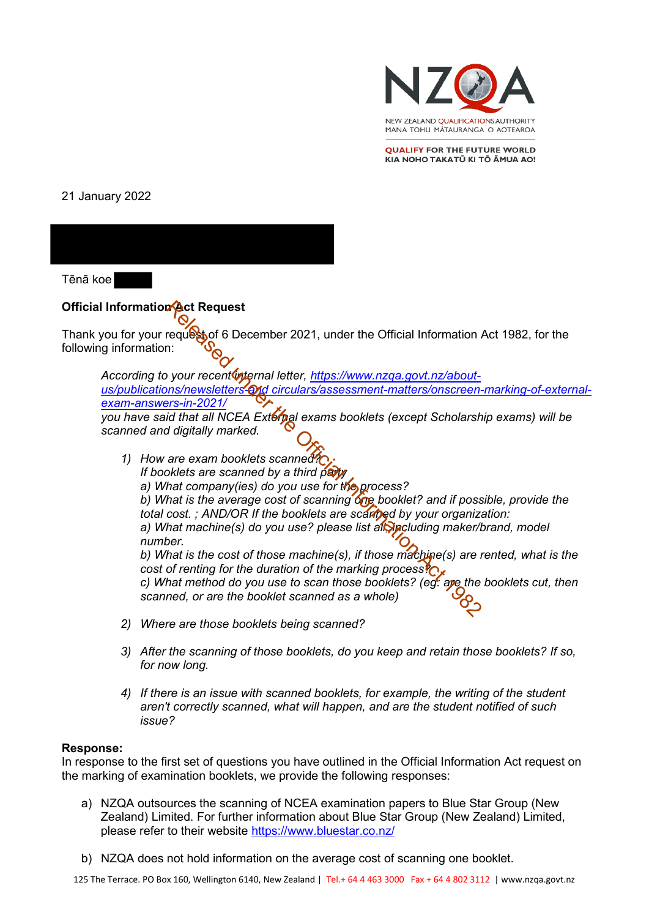

**OUALIFY FOR THE FUTURE WORLD** KIA NOHO TAKATŪ KI TŌ ĀMUA AO!

21 January 2022



According to your recent *internal letter*, https://www.nzqa.govt.nz/aboutus/publications/newsletters-**and circulars/assessment-matters/onscreen-marking-of-external***exam-answers-in-2021/*

*you have said that all NCEA External exams booklets (except Scholarship exams) will be scanned and digitally marked.*

- 1) How are exam booklets scanned<sup>8</sup> *If booklets are scanned by a third party a) What company(ies) do you use for the process?* **b)** What is the average cost of scanning one booklet? and if possible, provide the *total cost.; AND/OR If the booklets are scamped by your organization:* a) What machine(s) do you use? please list all *including maker/brand, model number. b) What is the cost of those machine(s), if those machine(s) are rented, what is the cost of renting for the duration of the marking process? c) What method do you use to scan those booklets? (eg: are the booklets cut, then scanned, or are the booklet scanned as a whole) 2) Where are those booklets being scanned?* Request<br>
Request<br>
Relation 6 December 2021, under the Official Information is<br>
now your recent the relation of the Change of the Official Information is<br>
now the act 1982 of the Change of Change is a set of the Act 1982<br>
o
- *3) After the scanning of those booklets, do you keep and retain those booklets? If so, for now long.*
- *4) If there is an issue with scanned booklets, for example, the writing of the student aren't correctly scanned, what will happen, and are the student notified of such issue?*

## **Response:**

In response to the first set of questions you have outlined in the Official Information Act request on the marking of examination booklets, we provide the following responses:

- a) NZQA outsources the scanning of NCEA examination papers to Blue Star Group (New Zealand) Limited. For further information about Blue Star Group (New Zealand) Limited, please refer to their website https://www.bluestar.co.nz/
- b) NZQA does not hold information on the average cost of scanning one booklet.

125 The Terrace. PO Box 160, Wellington 6140, New Zealand | Tel.+ 64 4 463 3000 Fax + 64 4 802 3112 | www.nzqa.govt.nz